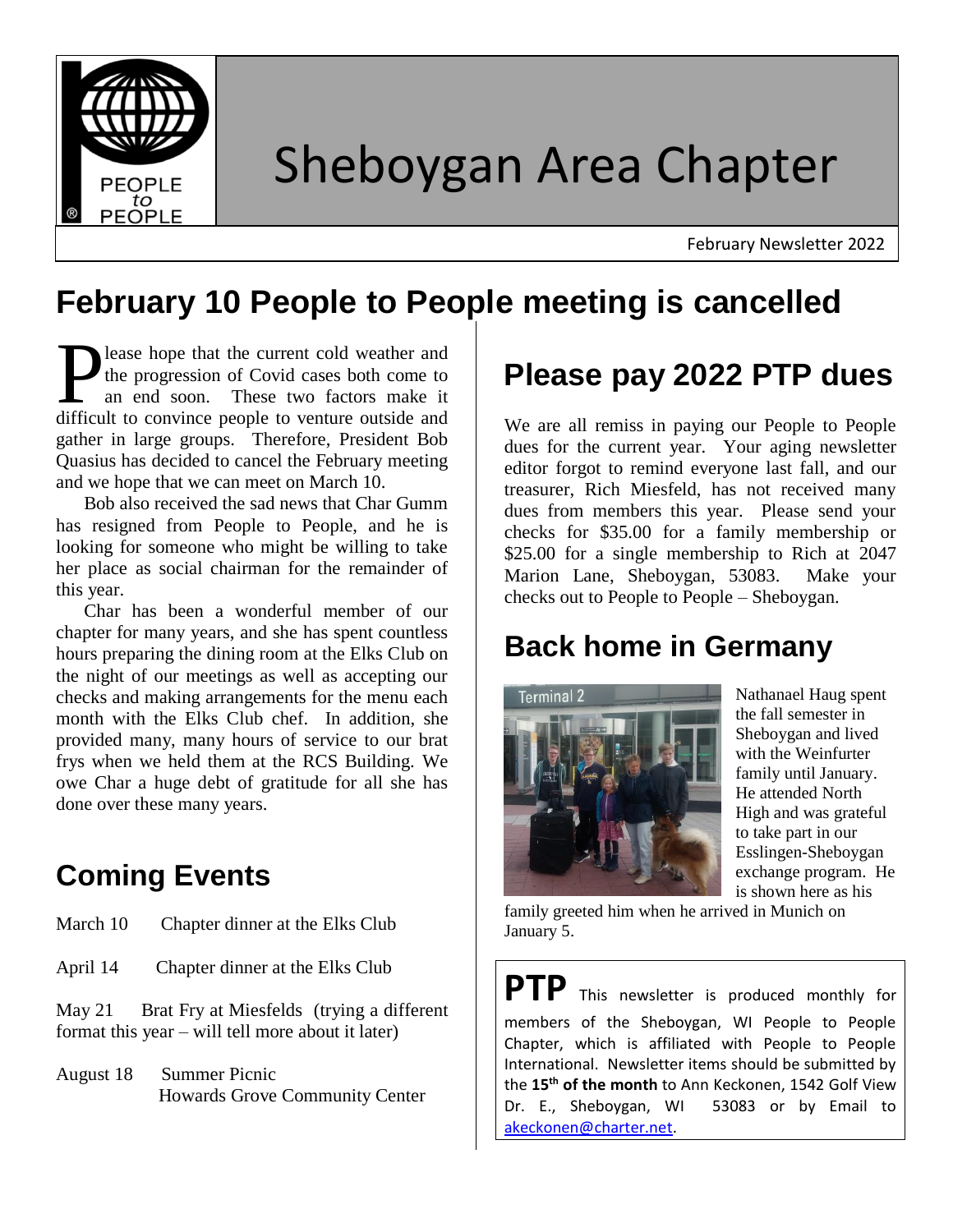

# Sheboygan Area Chapter

February Newsletter 2022

# **February 10 People to People meeting is cancelled**

lease hope that the current cold weather and the progression of Covid cases both come to an end soon. These two factors make it Dease hope that the current cold weather and<br>the progression of Covid cases both come to<br>an end soon. These two factors make it<br>difficult to convince people to venture outside and gather in large groups. Therefore, President Bob Quasius has decided to cancel the February meeting and we hope that we can meet on March 10.

 Bob also received the sad news that Char Gumm has resigned from People to People, and he is looking for someone who might be willing to take her place as social chairman for the remainder of this year.

 Char has been a wonderful member of our chapter for many years, and she has spent countless hours preparing the dining room at the Elks Club on the night of our meetings as well as accepting our checks and making arrangements for the menu each month with the Elks Club chef. In addition, she provided many, many hours of service to our brat frys when we held them at the RCS Building. We owe Char a huge debt of gratitude for all she has done over these many years.

### **Coming Events**

| March 10 | Chapter dinner at the Elks Club |
|----------|---------------------------------|
|          |                                 |

April 14 Chapter dinner at the Elks Club

May 21 Brat Fry at Miesfelds (trying a different format this year – will tell more about it later)

August 18 Summer Picnic Howards Grove Community Center

## **Please pay 2022 PTP dues**

We are all remiss in paying our People to People dues for the current year. Your aging newsletter editor forgot to remind everyone last fall, and our treasurer, Rich Miesfeld, has not received many dues from members this year. Please send your checks for \$35.00 for a family membership or \$25.00 for a single membership to Rich at 2047 Marion Lane, Sheboygan, 53083. Make your checks out to People to People – Sheboygan.

#### **Back home in Germany**



Nathanael Haug spent the fall semester in Sheboygan and lived with the Weinfurter family until January. He attended North High and was grateful to take part in our Esslingen-Sheboygan exchange program. He is shown here as his

family greeted him when he arrived in Munich on January 5.

**PTP** This newsletter is produced monthly for members of the Sheboygan, WI People to People Chapter, which is affiliated with People to People International. Newsletter items should be submitted by the **15th of the month** to Ann Keckonen, 1542 Golf View Dr. E., Sheboygan, WI 53083 or by Email to [akeckonen@charter.net.](mailto:akeckonen@charter.net)